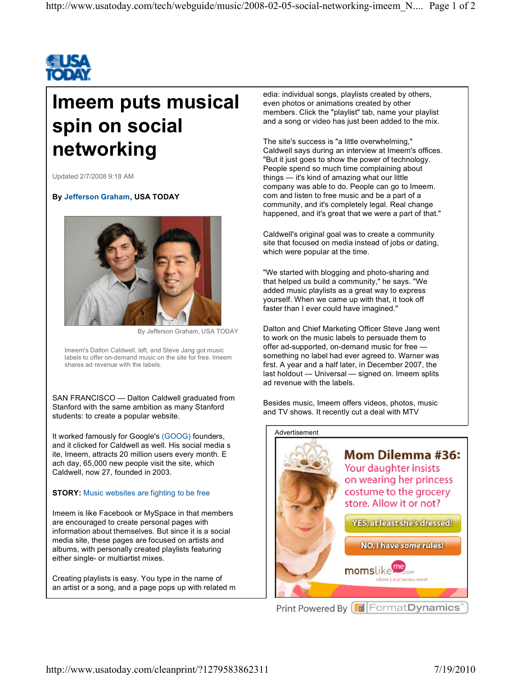

## **Imeem puts musical spin on social networking**

Updated 2/7/2008 9:18 AM

## **By Jefferson Graham, USA TODAY**



By Jefferson Graham, USA TODAY

Imeem's Dalton Caldwell, left, and Steve Jang got music labels to offer on-demand music on the site for free. Imeem shares ad revenue with the labels.

SAN FRANCISCO - Dalton Caldwell graduated from Stanford with the same ambition as many Stanford students: to create a popular website.

It worked famously for Google's (GOOG) founders, and it clicked for Caldwell as well. His social media s ite, Imeem, attracts 20 million users every month. E ach day, 65,000 new people visit the site, which Caldwell, now 27, founded in 2003.

## **STORY:** Music websites are fighting to be free

Imeem is like Facebook or MySpace in that members are encouraged to create personal pages with information about themselves. But since it is a social media site, these pages are focused on artists and albums, with personally created playlists featuring either single- or multiartist mixes.

Creating playlists is easy. You type in the name of an artist or a song, and a page pops up with related m edia: individual songs, playlists created by others, even photos or animations created by other members. Click the "playlist" tab, name your playlist and a song or video has just been added to the mix.

The site's success is "a little overwhelming," Caldwell says during an interview at Imeem's offices. "But it just goes to show the power of technology. People spend so much time complaining about things  $-$  it's kind of amazing what our little company was able to do. People can go to Imeem. com and listen to free music and be a part of a community, and it's completely legal. Real change happened, and it's great that we were a part of that."

Caldwell's original goal was to create a community site that focused on media instead of jobs or dating, which were popular at the time.

"We started with blogging and photo-sharing and that helped us build a community," he says. "We added music playlists as a great way to express yourself. When we came up with that, it took off faster than I ever could have imagined."

Dalton and Chief Marketing Officer Steve Jang went to work on the music labels to persuade them to offer ad-supported, on-demand music for free something no label had ever agreed to. Warner was first. A year and a half later, in December 2007, the last holdout - Universal - signed on. Imeem splits ad revenue with the labels.

Besides music, Imeem offers videos, photos, music and TV shows. It recently cut a deal with MTV